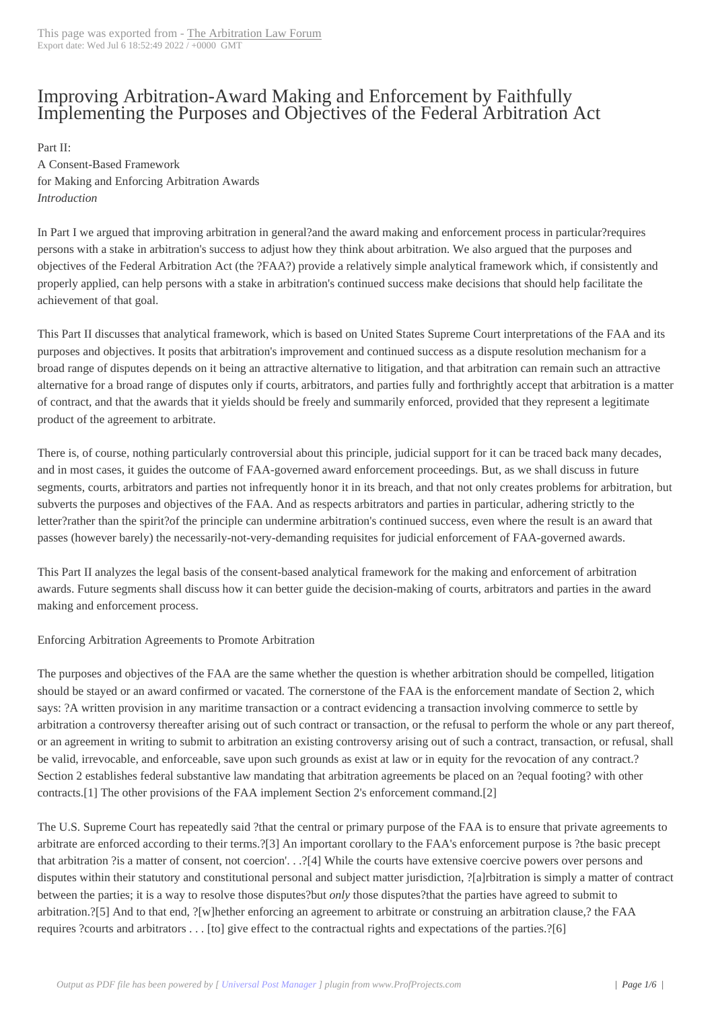## Improving Arbitrat[ion-Award Makin](http://loreelawfirm.com/blog/?p=4026)g and Enforcement by Faithfully Implementing the Purposes and Objectives of the Federal Arbitration Act

 Part II: A Consent-Based Framework for Making and Enforcing Arbitration Awards *Introduction* 

In Part I we argued that improving arbitration in general?and the award making and enforcement process in particular?requires persons with a stake in arbitration's success to adjust how they think about arbitration. We also argued that the purposes and objectives of the Federal Arbitration Act (the ?FAA?) provide a relatively simple analytical framework which, if consistently and properly applied, can help persons with a stake in arbitration's continued success make decisions that should help facilitate the achievement of that goal.

This Part II discusses that analytical framework, which is based on United States Supreme Court interpretations of the FAA and its purposes and objectives. It posits that arbitration's improvement and continued success as a dispute resolution mechanism for a broad range of disputes depends on it being an attractive alternative to litigation, and that arbitration can remain such an attractive alternative for a broad range of disputes only if courts, arbitrators, and parties fully and forthrightly accept that arbitration is a matter of contract, and that the awards that it yields should be freely and summarily enforced, provided that they represent a legitimate product of the agreement to arbitrate.

There is, of course, nothing particularly controversial about this principle, judicial support for it can be traced back many decades, and in most cases, it guides the outcome of FAA-governed award enforcement proceedings. But, as we shall discuss in future segments, courts, arbitrators and parties not infrequently honor it in its breach, and that not only creates problems for arbitration, but subverts the purposes and objectives of the FAA. And as respects arbitrators and parties in particular, adhering strictly to the letter?rather than the spirit?of the principle can undermine arbitration's continued success, even where the result is an award that passes (however barely) the necessarily-not-very-demanding requisites for judicial enforcement of FAA-governed awards.

This Part II analyzes the legal basis of the consent-based analytical framework for the making and enforcement of arbitration awards. Future segments shall discuss how it can better guide the decision-making of courts, arbitrators and parties in the award making and enforcement process.

Enforcing Arbitration Agreements to Promote Arbitration

The purposes and objectives of the FAA are the same whether the question is whether arbitration should be compelled, litigation should be stayed or an award confirmed or vacated. The cornerstone of the FAA is the enforcement mandate of Section 2, which says: ?A written provision in any maritime transaction or a contract evidencing a transaction involving commerce to settle by arbitration a controversy thereafter arising out of such contract or transaction, or the refusal to perform the whole or any part thereof, or an agreement in writing to submit to arbitration an existing controversy arising out of such a contract, transaction, or refusal, shall be valid, irrevocable, and enforceable, save upon such grounds as exist at law or in equity for the revocation of any contract.? Section 2 establishes federal substantive law mandating that arbitration agreements be placed on an ?equal footing? with other contracts.[1] The other provisions of the FAA implement Section 2's enforcement command.[2]

The U.S. Supreme Court has repeatedly said ?that the central or primary purpose of the FAA is to ensure that private agreements to arbitrate are enforced according to their terms.?[3] An important corollary to the FAA's enforcement purpose is ?the basic precept that arbitration ?is a matter of consent, not coercion'. . .?[4] While the courts have extensive coercive powers over persons and disputes within their statutory and constitutional personal and subject matter jurisdiction, ?[a]rbitration is simply a matter of contract between the parties; it is a way to resolve those disputes?but *only* those disputes?that the parties have agreed to submit to arbitration.?[5] And to that end, ?[w]hether enforcing an agreement to arbitrate or construing an arbitration clause,? the FAA requires ?courts and arbitrators . . . [to] give effect to the contractual rights and expectations of the parties.?[6]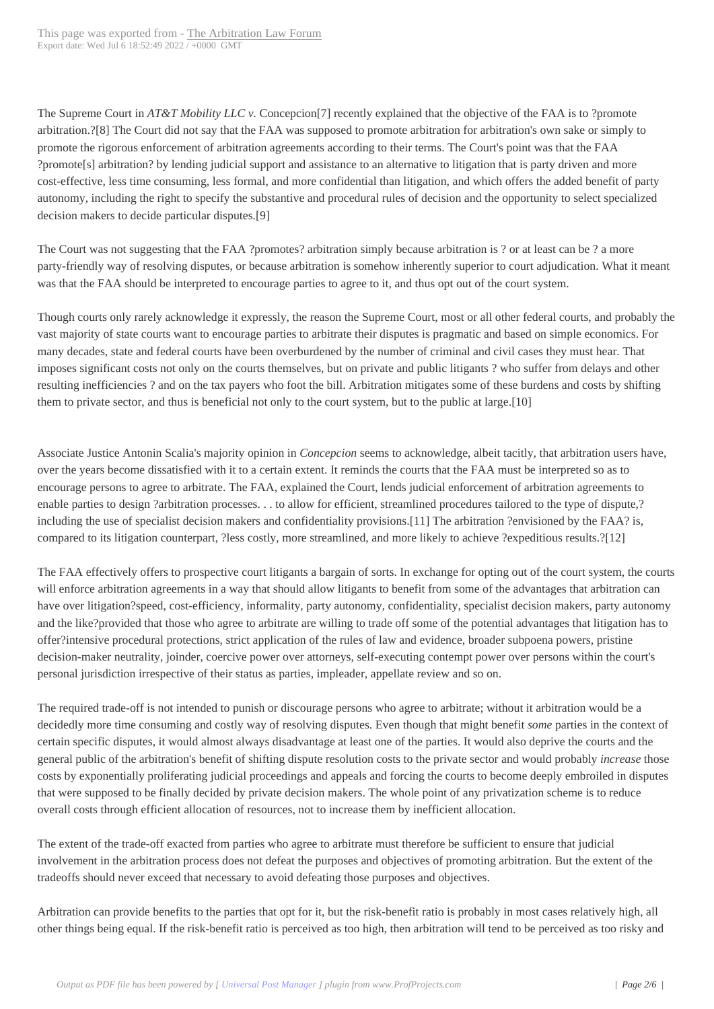The Supreme Court in *AT&T Mobility LLC v.* Concepcion[7] recently explained that the objective of the FAA is to ?promote arbitration.?[8] The Court did not say that the FAA was supposed to promote arbitration for arbitration's own sake or simply to promote the rigorous enforcement of arbitration agreements according to their terms. The Court's point was that the FAA ?promote[s] arbitration? by lending judicial support and assistance to an alternative to litigation that is party driven and more cost-effective, less time consuming, less formal, and more confidential than litigation, and which offers the added benefit of party autonomy, including the right to specify the substantive and procedural rules of decision and the opportunity to select specialized decision makers to decide particular disputes.[9]

The Court was not suggesting that the FAA ?promotes? arbitration simply because arbitration is ? or at least can be ? a more party-friendly way of resolving disputes, or because arbitration is somehow inherently superior to court adjudication. What it meant was that the FAA should be interpreted to encourage parties to agree to it, and thus opt out of the court system.

Though courts only rarely acknowledge it expressly, the reason the Supreme Court, most or all other federal courts, and probably the vast majority of state courts want to encourage parties to arbitrate their disputes is pragmatic and based on simple economics. For many decades, state and federal courts have been overburdened by the number of criminal and civil cases they must hear. That imposes significant costs not only on the courts themselves, but on private and public litigants ? who suffer from delays and other resulting inefficiencies ? and on the tax payers who foot the bill. Arbitration mitigates some of these burdens and costs by shifting them to private sector, and thus is beneficial not only to the court system, but to the public at large.[10]

Associate Justice Antonin Scalia's majority opinion in *Concepcion* seems to acknowledge, albeit tacitly, that arbitration users have, over the years become dissatisfied with it to a certain extent. It reminds the courts that the FAA must be interpreted so as to encourage persons to agree to arbitrate. The FAA, explained the Court, lends judicial enforcement of arbitration agreements to enable parties to design ?arbitration processes. . . to allow for efficient, streamlined procedures tailored to the type of dispute,? including the use of specialist decision makers and confidentiality provisions.[11] The arbitration ?envisioned by the FAA? is, compared to its litigation counterpart, ?less costly, more streamlined, and more likely to achieve ?expeditious results.?[12]

The FAA effectively offers to prospective court litigants a bargain of sorts. In exchange for opting out of the court system, the courts will enforce arbitration agreements in a way that should allow litigants to benefit from some of the advantages that arbitration can have over litigation?speed, cost-efficiency, informality, party autonomy, confidentiality, specialist decision makers, party autonomy and the like?provided that those who agree to arbitrate are willing to trade off some of the potential advantages that litigation has to offer?intensive procedural protections, strict application of the rules of law and evidence, broader subpoena powers, pristine decision-maker neutrality, joinder, coercive power over attorneys, self-executing contempt power over persons within the court's personal jurisdiction irrespective of their status as parties, impleader, appellate review and so on.

The required trade-off is not intended to punish or discourage persons who agree to arbitrate; without it arbitration would be a decidedly more time consuming and costly way of resolving disputes. Even though that might benefit *some* parties in the context of certain specific disputes, it would almost always disadvantage at least one of the parties. It would also deprive the courts and the general public of the arbitration's benefit of shifting dispute resolution costs to the private sector and would probably *increase* those costs by exponentially proliferating judicial proceedings and appeals and forcing the courts to become deeply embroiled in disputes that were supposed to be finally decided by private decision makers. The whole point of any privatization scheme is to reduce overall costs through efficient allocation of resources, not to increase them by inefficient allocation.

The extent of the trade-off exacted from parties who agree to arbitrate must therefore be sufficient to ensure that judicial involvement in the arbitration process does not defeat the purposes and objectives of promoting arbitration. But the extent of the tradeoffs should never exceed that necessary to avoid defeating those purposes and objectives.

Arbitration can provide benefits to the parties that opt for it, but the risk-benefit ratio is probably in most cases relatively high, all other things being equal. If the risk-benefit ratio is perceived as too high, then arbitration will tend to be perceived as too risky and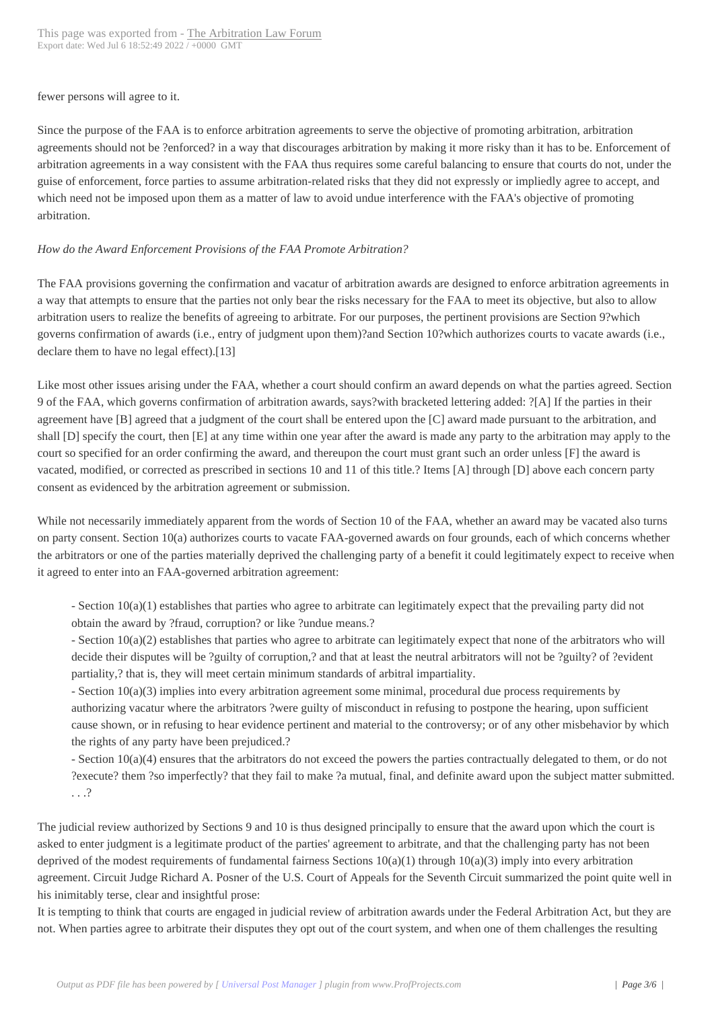fewer persons will agree to it.

Since the purpose of the FAA is to enforce arbitration agreements to serve the objective of promoting arbitration, arbitration agreements should not be ?enforced? in a way that discourages arbitration by making it more risky than it has to be. Enforcement of arbitration agreements in a way consistent with the FAA thus requires some careful balancing to ensure that courts do not, under the guise of enforcement, force parties to assume arbitration-related risks that they did not expressly or impliedly agree to accept, and which need not be imposed upon them as a matter of law to avoid undue interference with the FAA's objective of promoting arbitration.

## *How do the Award Enforcement Provisions of the FAA Promote Arbitration?*

The FAA provisions governing the confirmation and vacatur of arbitration awards are designed to enforce arbitration agreements in a way that attempts to ensure that the parties not only bear the risks necessary for the FAA to meet its objective, but also to allow arbitration users to realize the benefits of agreeing to arbitrate. For our purposes, the pertinent provisions are Section 9?which governs confirmation of awards (i.e., entry of judgment upon them)?and Section 10?which authorizes courts to vacate awards (i.e., declare them to have no legal effect).[13]

Like most other issues arising under the FAA, whether a court should confirm an award depends on what the parties agreed. Section 9 of the FAA, which governs confirmation of arbitration awards, says?with bracketed lettering added: ?[A] If the parties in their agreement have [B] agreed that a judgment of the court shall be entered upon the [C] award made pursuant to the arbitration, and shall [D] specify the court, then [E] at any time within one year after the award is made any party to the arbitration may apply to the court so specified for an order confirming the award, and thereupon the court must grant such an order unless [F] the award is vacated, modified, or corrected as prescribed in sections 10 and 11 of this title.? Items [A] through [D] above each concern party consent as evidenced by the arbitration agreement or submission.

While not necessarily immediately apparent from the words of Section 10 of the FAA, whether an award may be vacated also turns on party consent. Section 10(a) authorizes courts to vacate FAA-governed awards on four grounds, each of which concerns whether the arbitrators or one of the parties materially deprived the challenging party of a benefit it could legitimately expect to receive when it agreed to enter into an FAA-governed arbitration agreement:

- Section 10(a)(1) establishes that parties who agree to arbitrate can legitimately expect that the prevailing party did not obtain the award by ?fraud, corruption? or like ?undue means.?

- Section 10(a)(2) establishes that parties who agree to arbitrate can legitimately expect that none of the arbitrators who will decide their disputes will be ?guilty of corruption,? and that at least the neutral arbitrators will not be ?guilty? of ?evident partiality,? that is, they will meet certain minimum standards of arbitral impartiality.

- Section 10(a)(3) implies into every arbitration agreement some minimal, procedural due process requirements by authorizing vacatur where the arbitrators ?were guilty of misconduct in refusing to postpone the hearing, upon sufficient cause shown, or in refusing to hear evidence pertinent and material to the controversy; or of any other misbehavior by which the rights of any party have been prejudiced.?

- Section 10(a)(4) ensures that the arbitrators do not exceed the powers the parties contractually delegated to them, or do not ?execute? them ?so imperfectly? that they fail to make ?a mutual, final, and definite award upon the subject matter submitted. . . .?

The judicial review authorized by Sections 9 and 10 is thus designed principally to ensure that the award upon which the court is asked to enter judgment is a legitimate product of the parties' agreement to arbitrate, and that the challenging party has not been deprived of the modest requirements of fundamental fairness Sections  $10(a)(1)$  through  $10(a)(3)$  imply into every arbitration agreement. Circuit Judge Richard A. Posner of the U.S. Court of Appeals for the Seventh Circuit summarized the point quite well in his inimitably terse, clear and insightful prose:

It is tempting to think that courts are engaged in judicial review of arbitration awards under the Federal Arbitration Act, but they are not. When parties agree to arbitrate their disputes they opt out of the court system, and when one of them challenges the resulting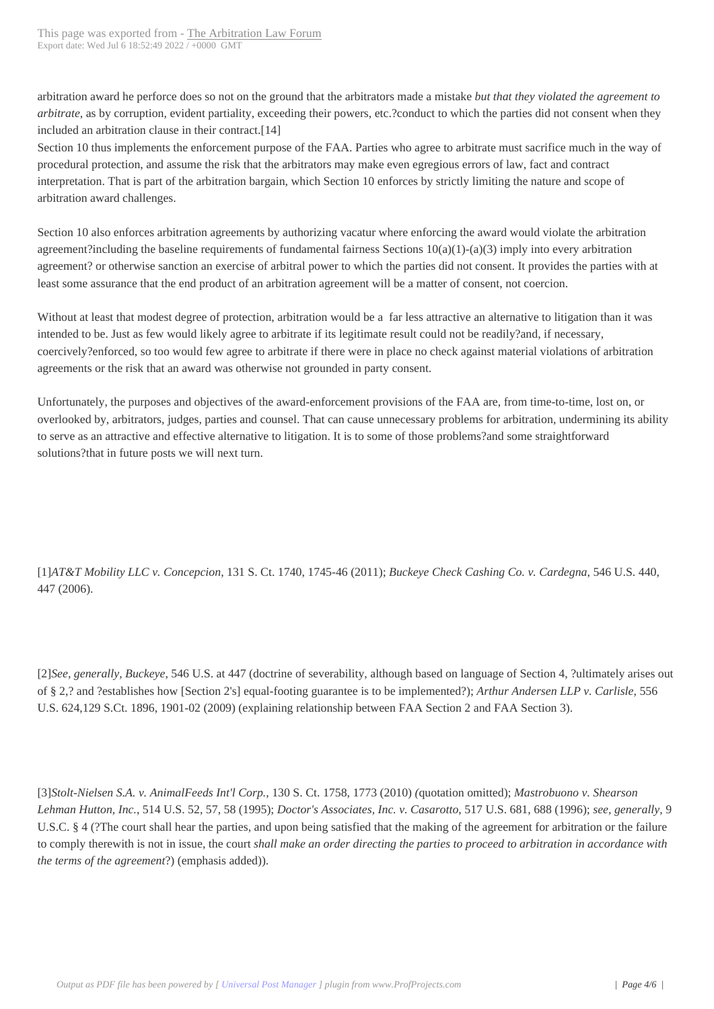arbitration award he perforce d[oes so not on the ground that](http://loreelawfirm.com/blog/?p=4026) the arbitrators made a mistake *but that they violated the agreement to arbitrate*, as by corruption, evident partiality, exceeding their powers, etc.?conduct to which the parties did not consent when they included an arbitration clause in their contract.[14]

Section 10 thus implements the enforcement purpose of the FAA. Parties who agree to arbitrate must sacrifice much in the way of procedural protection, and assume the risk that the arbitrators may make even egregious errors of law, fact and contract interpretation. That is part of the arbitration bargain, which Section 10 enforces by strictly limiting the nature and scope of arbitration award challenges.

Section 10 also enforces arbitration agreements by authorizing vacatur where enforcing the award would violate the arbitration agreement?including the baseline requirements of fundamental fairness Sections  $10(a)(1)-(a)(3)$  imply into every arbitration agreement? or otherwise sanction an exercise of arbitral power to which the parties did not consent. It provides the parties with at least some assurance that the end product of an arbitration agreement will be a matter of consent, not coercion.

Without at least that modest degree of protection, arbitration would be a far less attractive an alternative to litigation than it was intended to be. Just as few would likely agree to arbitrate if its legitimate result could not be readily?and, if necessary, coercively?enforced, so too would few agree to arbitrate if there were in place no check against material violations of arbitration agreements or the risk that an award was otherwise not grounded in party consent.

Unfortunately, the purposes and objectives of the award-enforcement provisions of the FAA are, from time-to-time, lost on, or overlooked by, arbitrators, judges, parties and counsel. That can cause unnecessary problems for arbitration, undermining its ability to serve as an attractive and effective alternative to litigation. It is to some of those problems?and some straightforward solutions?that in future posts we will next turn.

[1]*AT&T Mobility LLC v. Concepcion*, 131 S. Ct. 1740, 1745-46 (2011); *Buckeye Check Cashing Co. v. Cardegna*, 546 U.S. 440, 447 (2006).

[2]*See, generally, Buckeye*, 546 U.S. at 447 (doctrine of severability, although based on language of Section 4, ?ultimately arises out of § 2,? and ?establishes how [Section 2's] equal-footing guarantee is to be implemented?); *Arthur Andersen LLP v. Carlisle*, 556 U.S. 624,129 S.Ct. 1896, 1901-02 (2009) (explaining relationship between FAA Section 2 and FAA Section 3).

[3]*Stolt-Nielsen S.A. v. AnimalFeeds Int'l Corp.*, 130 S. Ct. 1758, 1773 (2010) *(*quotation omitted); *Mastrobuono v. Shearson Lehman Hutton, Inc.*, 514 U.S. 52, 57, 58 (1995); *Doctor's Associates, Inc. v. Casarotto*, 517 U.S. 681, 688 (1996); *see, generally*, 9 U.S.C. § 4 (?The court shall hear the parties, and upon being satisfied that the making of the agreement for arbitration or the failure to comply therewith is not in issue, the court *shall make an order directing the parties to proceed to arbitration in accordance with the terms of the agreement*?) (emphasis added)).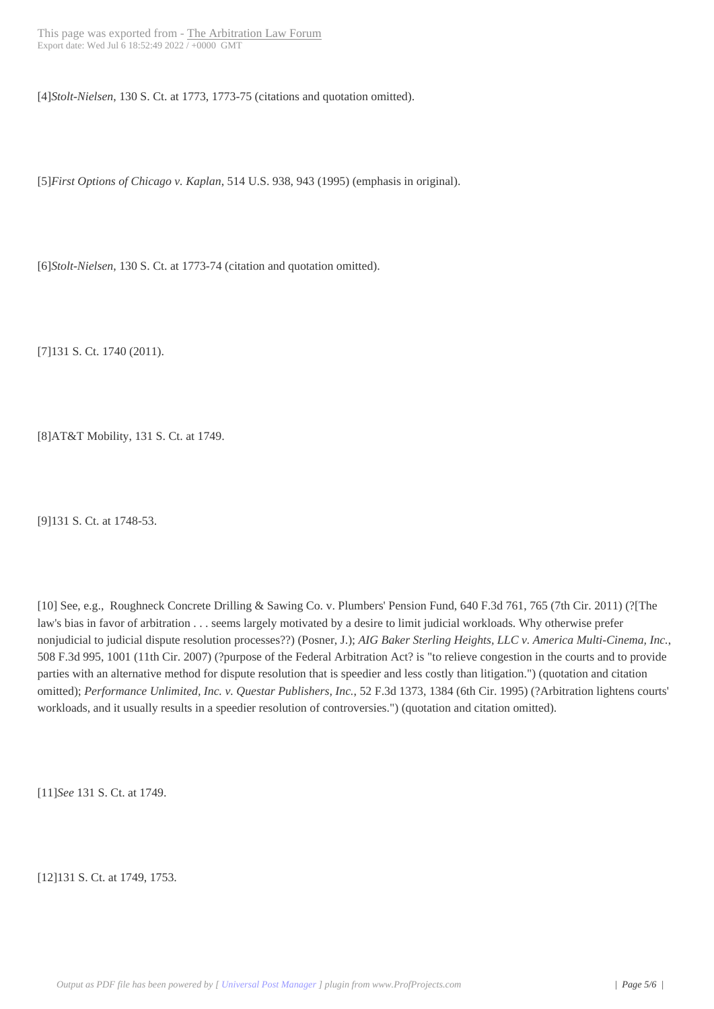[4]*Stolt-Nielsen*, 130 S. Ct. at [1773, 1773-75 \(citations and](http://loreelawfirm.com/blog/?p=4026) quotation omitted).

[5]*First Options of Chicago v. Kaplan*, 514 U.S. 938, 943 (1995) (emphasis in original).

[6]*Stolt-Nielsen*, 130 S. Ct. at 1773-74 (citation and quotation omitted).

[7]131 S. Ct. 1740 (2011).

[8]AT&T Mobility, 131 S. Ct. at 1749.

[9]131 S. Ct. at 1748-53.

[10] See, e.g., Roughneck Concrete Drilling & Sawing Co. v. Plumbers' Pension Fund, 640 F.3d 761, 765 (7th Cir. 2011) (?[The law's bias in favor of arbitration . . . seems largely motivated by a desire to limit judicial workloads. Why otherwise prefer nonjudicial to judicial dispute resolution processes??) (Posner, J.); *AIG Baker Sterling Heights, LLC v. America Multi-Cinema, Inc.*, 508 F.3d 995, 1001 (11th Cir. 2007) (?purpose of the Federal Arbitration Act? is "to relieve congestion in the courts and to provide parties with an alternative method for dispute resolution that is speedier and less costly than litigation.") (quotation and citation omitted); *Performance Unlimited, Inc. v. Questar Publishers, Inc.*, 52 F.3d 1373, 1384 (6th Cir. 1995) (?Arbitration lightens courts' workloads, and it usually results in a speedier resolution of controversies.") (quotation and citation omitted).

[11]*See* 131 S. Ct. at 1749.

[12]131 S. Ct. at 1749, 1753.